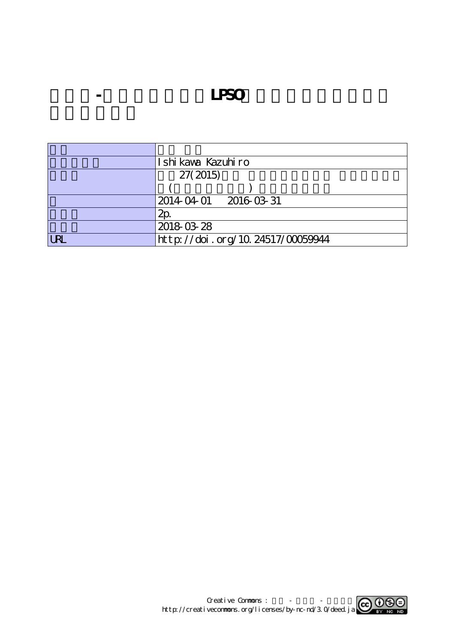**水素化-脱水素化によるLPSO構造の安定性評価と形**

|     | Ishi kaya Kazuhiro               |
|-----|----------------------------------|
|     | 27(2015)                         |
|     |                                  |
|     | 2014 04 01 2016 03 31            |
|     | 2p                               |
|     | 2018-03-28                       |
| IRI | http://doi.org/10.24517/00059944 |

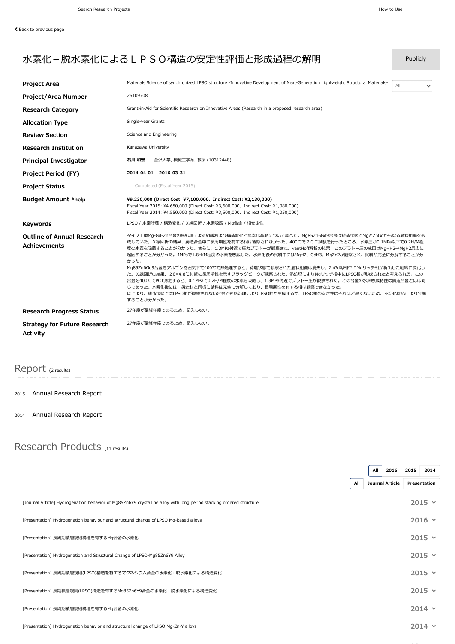## 水素化-脱水素化によるLPSO構造の安定性評価と形成過程の解明 Publicly

| <b>Project Area</b>                                      | Materials Science of synchronized LPSO structure -Innovative Development of Next-Generation Lightweight Structural Materials-                                                                                                                                                                                                                                                                                                                                                                                                                                                                                                                                                                                                                                       | All<br>$\checkmark$ |  |  |
|----------------------------------------------------------|---------------------------------------------------------------------------------------------------------------------------------------------------------------------------------------------------------------------------------------------------------------------------------------------------------------------------------------------------------------------------------------------------------------------------------------------------------------------------------------------------------------------------------------------------------------------------------------------------------------------------------------------------------------------------------------------------------------------------------------------------------------------|---------------------|--|--|
| Project/Area Number                                      | 26109708                                                                                                                                                                                                                                                                                                                                                                                                                                                                                                                                                                                                                                                                                                                                                            |                     |  |  |
| <b>Research Category</b>                                 | Grant-in-Aid for Scientific Research on Innovative Areas (Research in a proposed research area)                                                                                                                                                                                                                                                                                                                                                                                                                                                                                                                                                                                                                                                                     |                     |  |  |
| <b>Allocation Type</b>                                   | Single-year Grants                                                                                                                                                                                                                                                                                                                                                                                                                                                                                                                                                                                                                                                                                                                                                  |                     |  |  |
| <b>Review Section</b>                                    | Science and Engineering                                                                                                                                                                                                                                                                                                                                                                                                                                                                                                                                                                                                                                                                                                                                             |                     |  |  |
| <b>Research Institution</b>                              | Kanazawa University                                                                                                                                                                                                                                                                                                                                                                                                                                                                                                                                                                                                                                                                                                                                                 |                     |  |  |
| <b>Principal Investigator</b>                            | 石川 和宏<br>金沢大学, 機械工学系, 教授 (10312448)                                                                                                                                                                                                                                                                                                                                                                                                                                                                                                                                                                                                                                                                                                                                 |                     |  |  |
| <b>Project Period (FY)</b>                               | 2014-04-01 - 2016-03-31                                                                                                                                                                                                                                                                                                                                                                                                                                                                                                                                                                                                                                                                                                                                             |                     |  |  |
| <b>Project Status</b>                                    | Completed (Fiscal Year 2015)                                                                                                                                                                                                                                                                                                                                                                                                                                                                                                                                                                                                                                                                                                                                        |                     |  |  |
| <b>Budget Amount *help</b>                               | ¥9,230,000 (Direct Cost: ¥7,100,000, Indirect Cost: ¥2,130,000)<br>Fiscal Year 2015: ¥4,680,000 (Direct Cost: ¥3,600,000, Indirect Cost: ¥1,080,000)<br>Fiscal Year 2014: ¥4,550,000 (Direct Cost: ¥3,500,000, Indirect Cost: ¥1,050,000)                                                                                                                                                                                                                                                                                                                                                                                                                                                                                                                           |                     |  |  |
| <b>Keywords</b>                                          | LPSO / 水素貯蔵 / 構造変化 / X線回折 / 水素吸蔵 / Mg合金 / 相安定性                                                                                                                                                                                                                                                                                                                                                                                                                                                                                                                                                                                                                                                                                                                      |                     |  |  |
| <b>Outline of Annual Research</b><br><b>Achievements</b> | タイプ II 型Mg-Gd-Zn合金の熱処理による組織および構造変化と水素化挙動について調べた。Mg85Zn6Gd9合金は鋳造状態でMgとZnGdからなる層状組織を形<br>成していた。X線回折の結果、鋳造合金中に長周期性を有する相は観察されなかった。400℃で P C T 試験を行ったところ、水素圧が0.1MPa以下で0.2H/M程<br>度の水素を吸蔵することが分かった。さらに、1.3MPa付近で圧力プラトーが観察さた。vantHoff解析の結果、このプラトー圧の成因はMq+H2→MqH2反応に<br>起因することが分かった。4MPaで1.8H/M程度の水素を吸蔵した。水素化後の試料中にはMgH2、GdH3、MgZn2が観察され、試料が完全に分解することが分<br>かった。<br>Mg85Zn6Gd9合金をアルゴン雰囲気下で400℃で熱処理すると、鋳造状態で観察された層状組織は消失し、ZnGd母相中にMgリッチ相が析出した組織に変化し<br>た。X線回折の結果、20=4.8℃付近に長周期性を示すブラッグピークが観察された。熱処理によりMgリッチ相中にLPSO相が形成されたと考えられる。この<br>合金を400℃でPCT測定すると、0.1MPaで0.2H/M程度の水素を吸蔵し、1.3MPa付近でプラトー圧が観察された。この合金の水素吸蔵特性は鋳造合金とほぼ同<br>じであった。水素化後には、鋳造材と同様に試料は完全に分解しており、長周期性を有する相は観察できなかった。<br>以上より、鋳造状態ではLPSO相が観察されない合金でも熱処理によりLPSO相が生成するが、LPSO相の安定性はそれほど高くないため、不均化反応により分解<br>することが分かった。 |                     |  |  |
| <b>Research Progress Status</b>                          | 27年度が最終年度であるため、記入しない。                                                                                                                                                                                                                                                                                                                                                                                                                                                                                                                                                                                                                                                                                                                                               |                     |  |  |
| <b>Strategy for Future Research</b><br><b>Activity</b>   | 27年度が最終年度であるため、記入しない。                                                                                                                                                                                                                                                                                                                                                                                                                                                                                                                                                                                                                                                                                                                                               |                     |  |  |

## Report (2 results)

2015 [Annual Research](https://kaken.nii.ac.jp/en/report/KAKENHI-PUBLICLY-26109708/261097082015jisseki/) Report

2014 [Annual Research](https://kaken.nii.ac.jp/en/report/KAKENHI-PUBLICLY-26109708/261097082014jisseki/) Report

## Research Products (11 results)

|                                                                                                                     |     | All             | 2016 | 2015         | 2014            |
|---------------------------------------------------------------------------------------------------------------------|-----|-----------------|------|--------------|-----------------|
|                                                                                                                     | All | Journal Article |      | Presentation |                 |
| [Journal Article] Hydrogenation behavior of Mq85Zn6Y9 crystalline alloy with long period stacking ordered structure |     |                 |      |              | $2015 \times$   |
| [Presentation] Hydrogenation behaviour and structural change of LPSO Mg-based alloys                                |     |                 |      |              | $2016$ $\times$ |
| [Presentation] 長周期積層規則構造を有するMg合金の水素化                                                                                |     |                 |      |              | $2015 \times$   |
| [Presentation] Hydrogenation and Structural Change of LPSO-Mg85Zn6Y9 Alloy                                          |     |                 |      |              | $2015 \times$   |
| [Presentation] 長周期積層規則(LPSO)構造を有するマグネシウム合金の水素化・脱水素化による構造変化                                                          |     |                 |      |              | $2015$ $\times$ |
| [Presentation] 長期積層規則(LPSO)構造を有するMg85Zn6Y9合金の水素化・脱水素化による構造変化                                                        |     |                 |      |              | $2015 \times$   |
| [Presentation] 長周期積層規則構造を有するMg合金の水素化                                                                                |     |                 |      |              | $2014 \times$   |
| [Presentation] Hydrogenation behavior and structural change of LPSO Mg-Zn-Y alloys                                  |     |                 |      |              | $2014 \times$   |